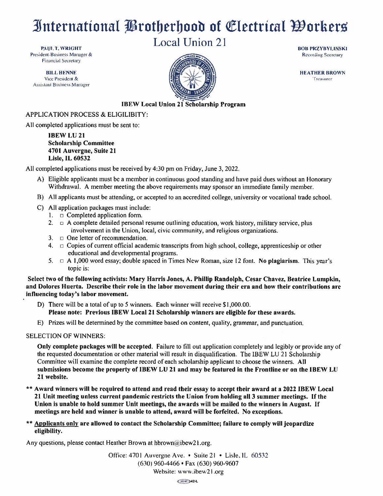### International Protherhood of Electrical Oorkers

**Local Union 21** 

**BOB PRZYBYLINSKI Recording Secretary** 

PAUL T. WRIGHT President-Business Manager & **Financial Secretary** 

**BILL HENNE** Vice President & **Assistant Business Manager** 



**HEATHER BROWN** Treasurer

#### **IBEW Local Union 21 Scholarship Program**

#### APPLICATION PROCESS & ELIGILIBITY:

All completed applications must be sent to:

**IBEW LU 21 Scholarship Committee** 4701 Auvergne, Suite 21 **Lisle, IL 60532** 

All completed applications must be received by 4:30 pm on Friday, June 3, 2022.

- A) Eligible applicants must be a member in continuous good standing and have paid dues without an Honorary Withdrawal. A member meeting the above requirements may sponsor an immediate family member.
- B) All applicants must be attending, or accepted to an accredited college, university or vocational trade school.
- C) All application packages must include:
	- 1.  $\Box$  Completed application form.
	- 2.  $\Box$  A complete detailed personal resume outlining education, work history, military service, plus involvement in the Union, local, civic community, and religious organizations.
	- 3.  $\Box$  One letter of recommendation.
	- 4.  $\Box$  Copies of current official academic transcripts from high school, college, apprenticeship or other educational and developmental programs.
	- 5.  $\Box$  A 1,000 word essay; double spaced in Times New Roman, size 12 font. No plagiarism. This year's topic is:

Select two of the following activists: Mary Harris Jones, A. Phillip Randolph, Cesar Chavez, Beatrice Lumpkin, and Dolores Huerta. Describe their role in the labor movement during their era and how their contributions are influencing today's labor movement.

- D) There will be a total of up to 5 winners. Each winner will receive \$1,000.00. Please note: Previous IBEW Local 21 Scholarship winners are eligible for these awards.
- E) Prizes will be determined by the committee based on content, quality, grammar, and punctuation.

#### **SELECTION OF WINNERS:**

Only complete packages will be accepted. Failure to fill out application completely and legibly or provide any of the requested documentation or other material will result in disqualification. The IBEW LU 21 Scholarship Committee will examine the complete record of each scholarship applicant to choose the winners. All submissions become the property of IBEW LU 21 and may be featured in the Frontline or on the IBEW LU 21 website.

\*\* Award winners will be required to attend and read their essay to accept their award at a 2022 IBEW Local 21 Unit meeting unless current pandemic restricts the Union from holding all 3 summer meetings. If the Union is unable to hold summer Unit meetings, the awards will be mailed to the winners in August. If meetings are held and winner is unable to attend, award will be forfeited. No exceptions.

\*\* Applicants only are allowed to contact the Scholarship Committee; failure to comply will jeopardize eligibility.

Any questions, please contact Heather Brown at hbrown@ibew21.org.

Office: 4701 Auvergne Ave. • Suite 21 • Lisle, IL 60532  $(630)$  960-4466 • Fax  $(630)$  960-9607 Website: www.ibew21.org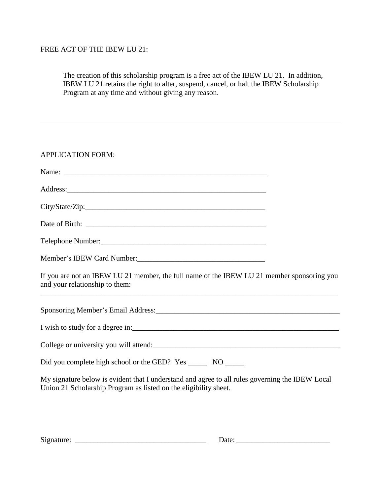#### FREE ACT OF THE IBEW LU 21:

The creation of this scholarship program is a free act of the IBEW LU 21. In addition, IBEW LU 21 retains the right to alter, suspend, cancel, or halt the IBEW Scholarship Program at any time and without giving any reason.

| <b>APPLICATION FORM:</b>                                                                                                                                            |
|---------------------------------------------------------------------------------------------------------------------------------------------------------------------|
|                                                                                                                                                                     |
|                                                                                                                                                                     |
|                                                                                                                                                                     |
|                                                                                                                                                                     |
|                                                                                                                                                                     |
| Member's IBEW Card Number:                                                                                                                                          |
| If you are not an IBEW LU 21 member, the full name of the IBEW LU 21 member sponsoring you<br>and your relationship to them:                                        |
|                                                                                                                                                                     |
|                                                                                                                                                                     |
| College or university you will attend:<br><u>College or university you will attend:</u>                                                                             |
|                                                                                                                                                                     |
| My signature below is evident that I understand and agree to all rules governing the IBEW Local<br>Union 21 Scholarship Program as listed on the eligibility sheet. |

| Signature: |
|------------|
|------------|